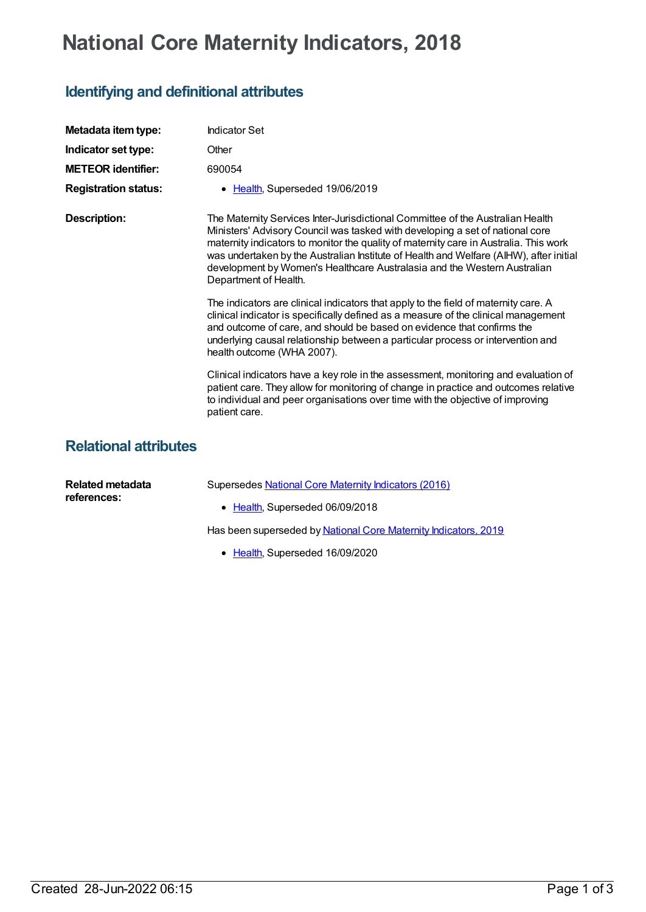## **National Core Maternity Indicators, 2018**

## **Identifying and definitional attributes**

| Metadata item type:          | <b>Indicator Set</b>                                                                                                                                                                                                                                                                                                                                                                                                                                    |
|------------------------------|---------------------------------------------------------------------------------------------------------------------------------------------------------------------------------------------------------------------------------------------------------------------------------------------------------------------------------------------------------------------------------------------------------------------------------------------------------|
| Indicator set type:          | Other                                                                                                                                                                                                                                                                                                                                                                                                                                                   |
| <b>METEOR identifier:</b>    | 690054                                                                                                                                                                                                                                                                                                                                                                                                                                                  |
| <b>Registration status:</b>  | • Health, Superseded 19/06/2019                                                                                                                                                                                                                                                                                                                                                                                                                         |
| <b>Description:</b>          | The Maternity Services Inter-Jurisdictional Committee of the Australian Health<br>Ministers' Advisory Council was tasked with developing a set of national core<br>maternity indicators to monitor the quality of maternity care in Australia. This work<br>was undertaken by the Australian Institute of Health and Welfare (AIHW), after initial<br>development by Women's Healthcare Australasia and the Western Australian<br>Department of Health. |
|                              | The indicators are clinical indicators that apply to the field of maternity care. A<br>clinical indicator is specifically defined as a measure of the clinical management<br>and outcome of care, and should be based on evidence that confirms the<br>underlying causal relationship between a particular process or intervention and<br>health outcome (WHA 2007).                                                                                    |
|                              | Clinical indicators have a key role in the assessment, monitoring and evaluation of<br>patient care. They allow for monitoring of change in practice and outcomes relative<br>to individual and peer organisations over time with the objective of improving<br>patient care.                                                                                                                                                                           |
| <b>Relational attributes</b> |                                                                                                                                                                                                                                                                                                                                                                                                                                                         |
| Related metadata             | Supersedes National Core Maternity Indicators (2016)                                                                                                                                                                                                                                                                                                                                                                                                    |

| Related metadata<br>references: | Supersedes National Core Maternity Indicators (2016)            |
|---------------------------------|-----------------------------------------------------------------|
|                                 | • Health, Superseded 06/09/2018                                 |
|                                 | Has been superseded by National Core Maternity Indicators, 2019 |

• [Health](https://meteor.aihw.gov.au/RegistrationAuthority/12), Superseded 16/09/2020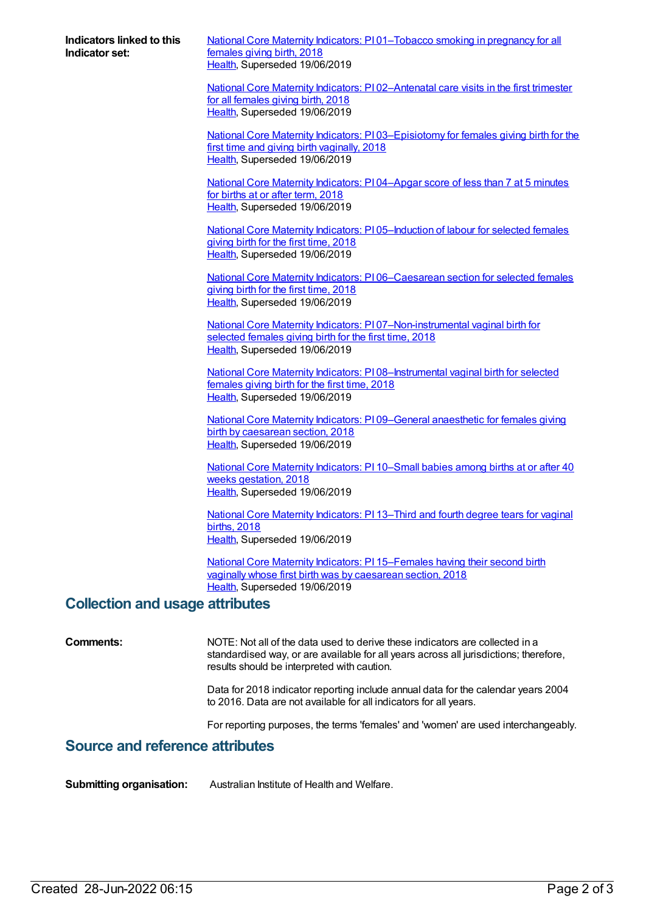**Indicators linked to this Indicator set:**

National Core Maternity Indicators: PI [01–Tobacco](https://meteor.aihw.gov.au/content/690056) smoking in pregnancy for all females giving birth, 2018 [Health](https://meteor.aihw.gov.au/RegistrationAuthority/12), Superseded 19/06/2019

National Core Maternity Indicators: P102-Antenatal care visits in the first trimester for all females giving birth, 2018 [Health](https://meteor.aihw.gov.au/RegistrationAuthority/12), Superseded 19/06/2019

National Core Maternity Indicators: PI [03–Episiotomy](https://meteor.aihw.gov.au/content/690076) for females giving birth for the first time and giving birth vaginally, 2018 [Health](https://meteor.aihw.gov.au/RegistrationAuthority/12), Superseded 19/06/2019

National Core Maternity [Indicators:](https://meteor.aihw.gov.au/content/690106) PI 04–Apgar score of less than 7 at 5 minutes for births at or after term, 2018 [Health](https://meteor.aihw.gov.au/RegistrationAuthority/12), Superseded 19/06/2019

National Core Maternity Indicators: PI 05-Induction of labour for selected females giving birth for the first time, 2018 [Health](https://meteor.aihw.gov.au/RegistrationAuthority/12), Superseded 19/06/2019

National Core Maternity Indicators: PI [06–Caesarean](https://meteor.aihw.gov.au/content/690119) section for selected females giving birth for the first time, 2018 [Health](https://meteor.aihw.gov.au/RegistrationAuthority/12), Superseded 19/06/2019

National Core Maternity Indicators: PI [07–Non-instrumental](https://meteor.aihw.gov.au/content/690125) vaginal birth for selected females giving birth for the first time, 2018 [Health](https://meteor.aihw.gov.au/RegistrationAuthority/12), Superseded 19/06/2019

National Core Maternity Indicators: PI 08-Instrumental vaginal birth for selected females giving birth for the first time, 2018 [Health](https://meteor.aihw.gov.au/RegistrationAuthority/12), Superseded 19/06/2019

National Core Maternity Indicators: PI [09–General](https://meteor.aihw.gov.au/content/690168) anaesthetic for females giving birth by caesarean section, 2018 [Health](https://meteor.aihw.gov.au/RegistrationAuthority/12), Superseded 19/06/2019

National Core Maternity [Indicators:](https://meteor.aihw.gov.au/content/690170) PI 10–Small babies among births at or after 40 weeks gestation, 2018 [Health](https://meteor.aihw.gov.au/RegistrationAuthority/12), Superseded 19/06/2019

National Core Maternity [Indicators:](https://meteor.aihw.gov.au/content/690172) PI 13–Third and fourth degree tears for vaginal births, 2018 [Health](https://meteor.aihw.gov.au/RegistrationAuthority/12), Superseded 19/06/2019

National Core Maternity Indicators: PI [15–Females](https://meteor.aihw.gov.au/content/690174) having their second birth vaginally whose first birth was by caesarean section, 2018 [Health](https://meteor.aihw.gov.au/RegistrationAuthority/12), Superseded 19/06/2019

## **Collection and usage attributes**

**Comments:** NOTE: Not all of the data used to derive these indicators are collected in a standardised way, or are available for all years across all jurisdictions; therefore, results should be interpreted with caution.

> Data for 2018 indicator reporting include annual data for the calendar years 2004 to 2016. Data are not available for all indicators for all years.

For reporting purposes, the terms 'females' and 'women' are used interchangeably.

## **Source and reference attributes**

**Submitting organisation:** Australian Institute of Health and Welfare.